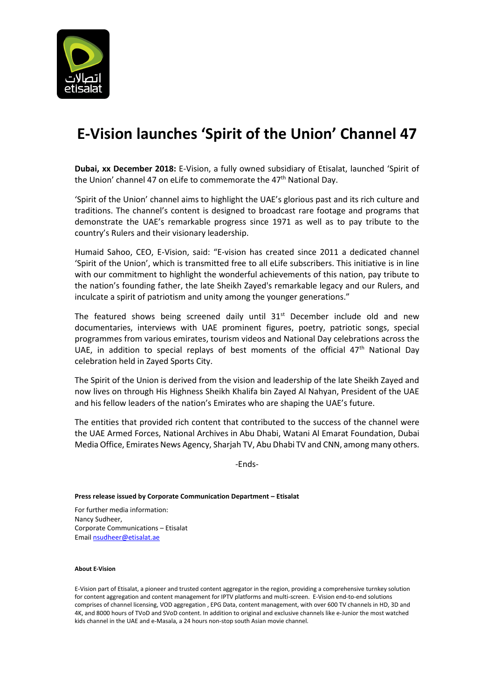

## **E-Vision launches 'Spirit of the Union' Channel 47**

**Dubai, xx December 2018:** E-Vision, a fully owned subsidiary of Etisalat, launched 'Spirit of the Union' channel 47 on eLife to commemorate the 47<sup>th</sup> National Day.

'Spirit of the Union' channel aims to highlight the UAE's glorious past and its rich culture and traditions. The channel's content is designed to broadcast rare footage and programs that demonstrate the UAE's remarkable progress since 1971 as well as to pay tribute to the country's Rulers and their visionary leadership.

Humaid Sahoo, CEO, E-Vision, said: "E-vision has created since 2011 a dedicated channel 'Spirit of the Union', which is transmitted free to all eLife subscribers. This initiative is in line with our commitment to highlight the wonderful achievements of this nation, pay tribute to the nation's founding father, the late Sheikh Zayed's remarkable legacy and our Rulers, and inculcate a spirit of patriotism and unity among the younger generations."

The featured shows being screened daily until  $31^{st}$  December include old and new documentaries, interviews with UAE prominent figures, poetry, patriotic songs, special programmes from various emirates, tourism videos and National Day celebrations across the UAE, in addition to special replays of best moments of the official  $47<sup>th</sup>$  National Day celebration held in Zayed Sports City.

The Spirit of the Union is derived from the vision and leadership of the late Sheikh Zayed and now lives on through His Highness Sheikh Khalifa bin Zayed Al Nahyan, President of the UAE and his fellow leaders of the nation's Emirates who are shaping the UAE's future.

The entities that provided rich content that contributed to the success of the channel were the UAE Armed Forces, National Archives in Abu Dhabi, Watani Al Emarat Foundation, Dubai Media Office, Emirates News Agency, Sharjah TV, Abu Dhabi TV and CNN, among many others.

-Ends-

## **Press release issued by Corporate Communication Department – Etisalat**

For further media information: Nancy Sudheer, Corporate Communications – Etisalat Emai[l nsudheer@etisalat.ae](mailto:nsudheer@etisalat.ae)

## **About E-Vision**

E-Vision part of Etisalat, a pioneer and trusted content aggregator in the region, providing a comprehensive turnkey solution for content aggregation and content management for IPTV platforms and multi-screen. E-Vision end-to-end solutions comprises of channel licensing, VOD aggregation , EPG Data, content management, with over 600 TV channels in HD, 3D and 4K, and 8000 hours of TVoD and SVoD content. In addition to original and exclusive channels like e-Junior the most watched kids channel in the UAE and e-Masala, a 24 hours non-stop south Asian movie channel.